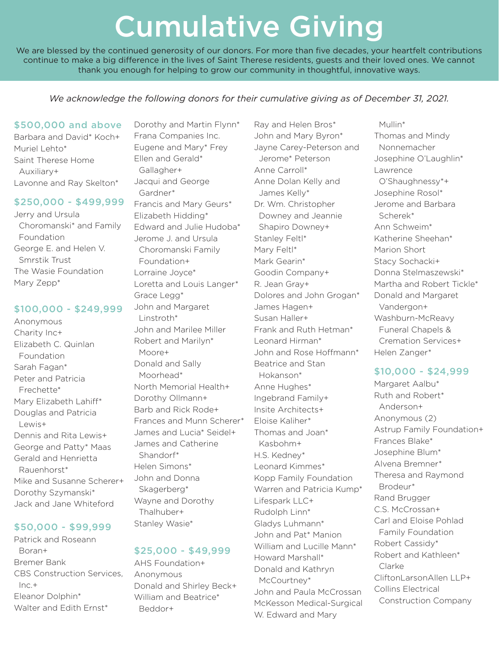# Cumulative Giving

We are blessed by the continued generosity of our donors. For more than five decades, your heartfelt contributions continue to make a big difference in the lives of Saint Therese residents, guests and their loved ones. We cannot thank you enough for helping to grow our community in thoughtful, innovative ways.

We acknowledge the following donors for their cumulative giving as of December 31, 2021.

#### \$500,000 and above

Barbara and David\* Koch+ Muriel Lehto\* Saint Therese Home Auxiliary+ Lavonne and Ray Skelton\*

### \$250,000 - \$499,999

Jerry and Ursula Choromanski\* and Family Foundation George E. and Helen V. Smrstik Trust The Wasie Foundation Mary Zepp\*

#### \$100,000 - \$249,999

Anonymous Charity Inc+ Elizabeth C. Quinlan Foundation Sarah Fagan\* Peter and Patricia Frechette\* Mary Elizabeth Lahiff\* Douglas and Patricia Lewis+ Dennis and Rita Lewis+ George and Patty\* Maas Gerald and Henrietta Rauenhorst\* Mike and Susanne Scherer+ Dorothy Szymanski\* Jack and Jane Whiteford

# \$50,000 - \$99,999

Patrick and Roseann Boran+ Bremer Bank CBS Construction Services,  $Inc.+$ Eleanor Dolphin\* Walter and Edith Ernst\*

Dorothy and Martin Flynn\* Frana Companies Inc. Eugene and Mary\* Frey Ellen and Gerald\* Gallagher+ Jacqui and George Gardner\* Francis and Mary Geurs\* Elizabeth Hidding\* Edward and Julie Hudoba\* Jerome J. and Ursula Choromanski Family Foundation+ Lorraine Joyce\* Loretta and Louis Langer\* Grace Legg\* John and Margaret Linstroth\* John and Marilee Miller Robert and Marilyn\* Moore+ Donald and Sally Moorhead\* North Memorial Health+ Dorothy Ollmann+ Barb and Rick Rode+ Frances and Munn Scherer\* James and Lucia\* Seidel+ James and Catherine Shandorf\* Helen Simons\* John and Donna Skagerberg\* Wayne and Dorothy Thalhuber+ Stanley Wasie\*

# \$25,000 - \$49,999

AHS Foundation+ Anonymous Donald and Shirley Beck+ William and Beatrice\* Beddor+

Ray and Helen Bros\* John and Mary Byron\* Jayne Carey-Peterson and Jerome\* Peterson Anne Carroll\* Anne Dolan Kelly and James Kelly\* Dr. Wm. Christopher Downey and Jeannie Shapiro Downey+ Stanley Feltl\* Mary Feltl\* Mark Gearin\* Goodin Company+ R. Jean Gray+ Dolores and John Grogan\* James Hagen+ Susan Haller+ Frank and Ruth Hetman\* Leonard Hirman\* John and Rose Hoffmann\* Beatrice and Stan Hokanson\* Anne Hughes\* Ingebrand Family+ Insite Architects+ Eloise Kaliher\* Thomas and Joan\* Kasbohm+ H.S. Kedney\* Leonard Kimmes\* Kopp Family Foundation Warren and Patricia Kump\* Lifespark LLC+ Rudolph Linn\* Gladys Luhmann\* John and Pat\* Manion William and Lucille Mann\* Howard Marshall\* Donald and Kathryn McCourtney\* John and Paula McCrossan McKesson Medical-Surgical W. Edward and Mary

 Mullin\* Thomas and Mindy Nonnemacher Josephine O'Laughlin\* Lawrence O'Shaughnessy\*+ Josephine Rosol\* Jerome and Barbara Scherek\* Ann Schweim\* Katherine Sheehan\* Marion Short Stacy Sochacki+ Donna Stelmaszewski\* Martha and Robert Tickle\* Donald and Margaret Vandergon+ Washburn-McReavy Funeral Chapels & Cremation Services+ Helen Zanger\*

# \$10,000 - \$24,999

Margaret Aalbu\* Ruth and Robert\* Anderson+ Anonymous (2) Astrup Family Foundation+ Frances Blake\* Josephine Blum\* Alvena Bremner\* Theresa and Raymond Brodeur\* Rand Brugger C.S. McCrossan+ Carl and Eloise Pohlad Family Foundation Robert Cassidy\* Robert and Kathleen\* Clarke CliftonLarsonAllen LLP+ Collins Electrical Construction Company